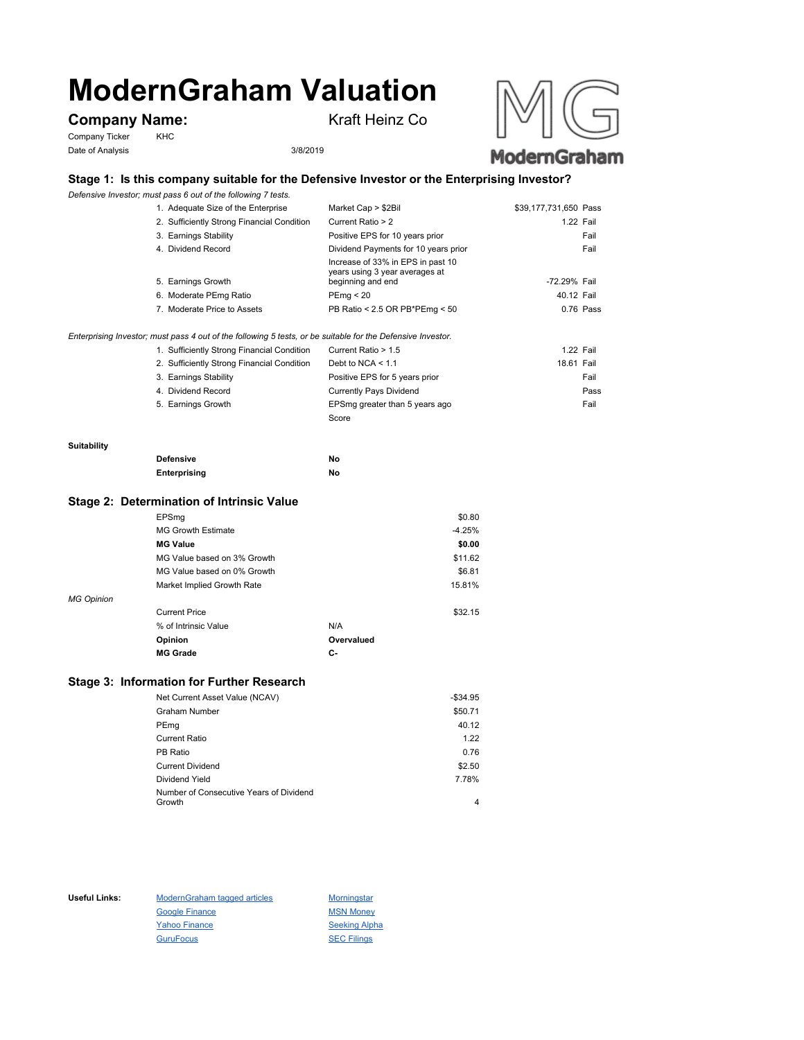# **ModernGraham Valuation**

## **Company Name:** Kraft Heinz Co

Company Ticker KHC Date of Analysis 3/8/2019





## **Stage 1: Is this company suitable for the Defensive Investor or the Enterprising Investor?**

*Defensive Investor; must pass 6 out of the following 7 tests.*

| 1. Adequate Size of the Enterprise         | Market Cap > \$2Bil                                                                      | \$39,177,731,650 Pass |           |
|--------------------------------------------|------------------------------------------------------------------------------------------|-----------------------|-----------|
| 2. Sufficiently Strong Financial Condition | Current Ratio > 2                                                                        | 1.22 Fail             |           |
| 3. Earnings Stability                      | Positive EPS for 10 years prior                                                          |                       | Fail      |
| 4. Dividend Record                         | Dividend Payments for 10 years prior                                                     |                       | Fail      |
| 5. Earnings Growth                         | Increase of 33% in EPS in past 10<br>years using 3 year averages at<br>beginning and end | -72.29% Fail          |           |
| 6. Moderate PEmg Ratio                     | PEmg < 20                                                                                | 40.12 Fail            |           |
| 7. Moderate Price to Assets                | PB Ratio < 2.5 OR PB*PEmg < 50                                                           |                       | 0.76 Pass |
|                                            |                                                                                          |                       |           |

#### *Enterprising Investor; must pass 4 out of the following 5 tests, or be suitable for the Defensive Investor.*

| 1. Sufficiently Strong Financial Condition | Current Ratio > 1.5            | 1.22 Fail  |  |
|--------------------------------------------|--------------------------------|------------|--|
| 2. Sufficiently Strong Financial Condition | Debt to NCA $<$ 1.1            | 18.61 Fail |  |
| 3. Earnings Stability                      | Positive EPS for 5 years prior | Fail       |  |
| 4. Dividend Record                         | <b>Currently Pays Dividend</b> | Pass       |  |
| 5. Earnings Growth                         | EPSmg greater than 5 years ago | Fail       |  |
|                                            | Score                          |            |  |

#### **Suitability**

| <b>Defensive</b> | No |
|------------------|----|
| Enterprising     | No |

### **Stage 2: Determination of Intrinsic Value**

|                   | EPSmg                       |            | \$0.80   |
|-------------------|-----------------------------|------------|----------|
|                   | <b>MG Growth Estimate</b>   |            | $-4.25%$ |
|                   | <b>MG Value</b>             |            | \$0.00   |
|                   | MG Value based on 3% Growth |            | \$11.62  |
|                   | MG Value based on 0% Growth |            | \$6.81   |
|                   | Market Implied Growth Rate  |            | 15.81%   |
| <b>MG Opinion</b> |                             |            |          |
|                   | <b>Current Price</b>        |            | \$32.15  |
|                   | % of Intrinsic Value        | N/A        |          |
|                   | Opinion                     | Overvalued |          |
|                   | <b>MG Grade</b>             | С-         |          |
|                   |                             |            |          |

## **Stage 3: Information for Further Research**

| Net Current Asset Value (NCAV)          | $-$34.95$ |
|-----------------------------------------|-----------|
| Graham Number                           | \$50.71   |
| PEmg                                    | 40.12     |
| Current Ratio                           | 1.22      |
| PB Ratio                                | 0.76      |
| <b>Current Dividend</b>                 | \$2.50    |
| Dividend Yield                          | 7.78%     |
| Number of Consecutive Years of Dividend |           |
| Growth                                  | 4         |

Useful Links: ModernGraham tagged articles Morningstar Google Finance MSN Money Yahoo Finance Seeking Alpha GuruFocus SEC Filings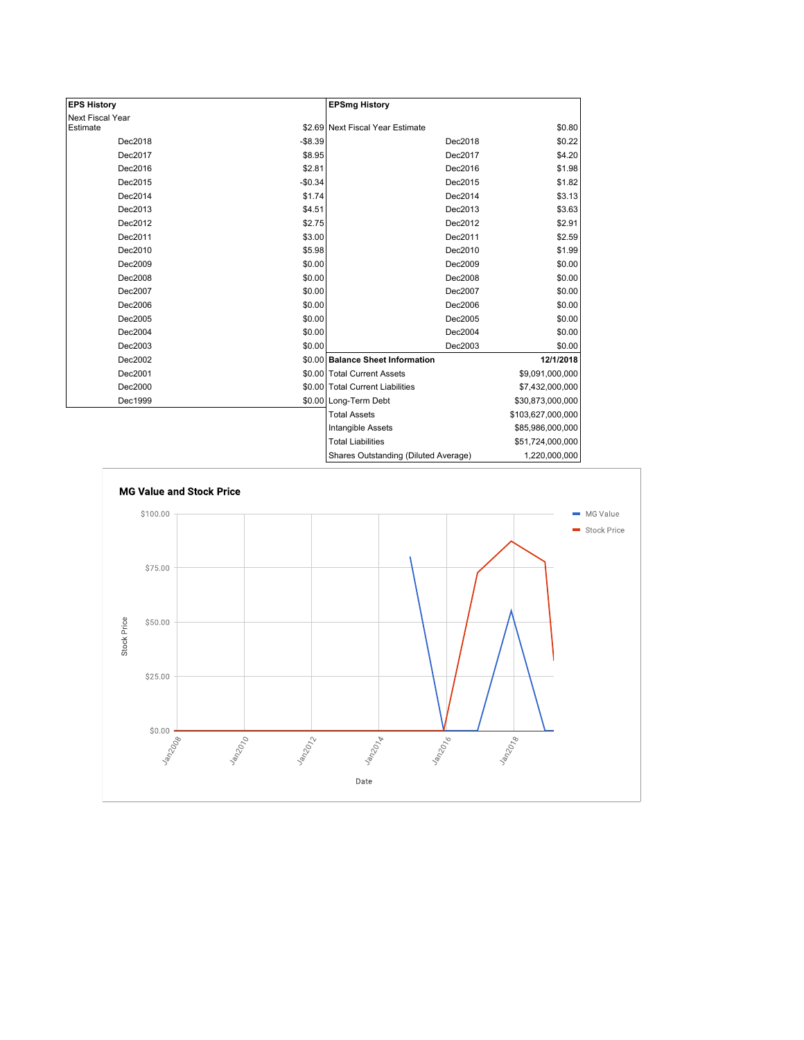| <b>EPS History</b> |          | <b>EPSmg History</b>                 |                   |
|--------------------|----------|--------------------------------------|-------------------|
| Next Fiscal Year   |          |                                      |                   |
| Estimate           |          | \$2.69 Next Fiscal Year Estimate     | \$0.80            |
| Dec2018            | $-$8.39$ | Dec2018                              | \$0.22            |
| Dec2017            | \$8.95   | Dec2017                              | \$4.20            |
| Dec2016            | \$2.81   | Dec2016                              | \$1.98            |
| Dec2015            | $-$0.34$ | Dec2015                              | \$1.82            |
| Dec2014            | \$1.74   | Dec2014                              | \$3.13            |
| Dec2013            | \$4.51   | Dec2013                              | \$3.63            |
| Dec2012            | \$2.75   | Dec2012                              | \$2.91            |
| Dec2011            | \$3.00   | Dec2011                              | \$2.59            |
| Dec2010            | \$5.98   | Dec2010                              | \$1.99            |
| Dec2009            | \$0.00   | Dec2009                              | \$0.00            |
| Dec2008            | \$0.00   | Dec2008                              | \$0.00            |
| Dec2007            | \$0.00   | Dec2007                              | \$0.00            |
| Dec2006            | \$0.00   | Dec2006                              | \$0.00            |
| Dec2005            | \$0.00   | Dec2005                              | \$0.00            |
| Dec2004            | \$0.00   | Dec2004                              | \$0.00            |
| Dec2003            | \$0.00   | Dec2003                              | \$0.00            |
| Dec2002            |          | \$0.00 Balance Sheet Information     | 12/1/2018         |
| Dec2001            |          | \$0.00 Total Current Assets          | \$9,091,000,000   |
| Dec2000            |          | \$0.00 Total Current Liabilities     | \$7,432,000,000   |
| Dec1999            |          | \$0.00 Long-Term Debt                | \$30,873,000,000  |
|                    |          | <b>Total Assets</b>                  | \$103,627,000,000 |
|                    |          | Intangible Assets                    | \$85,986,000,000  |
|                    |          | <b>Total Liabilities</b>             | \$51,724,000,000  |
|                    |          | Sharee Outetanding (Diluted Average) | 1.220.000.000     |